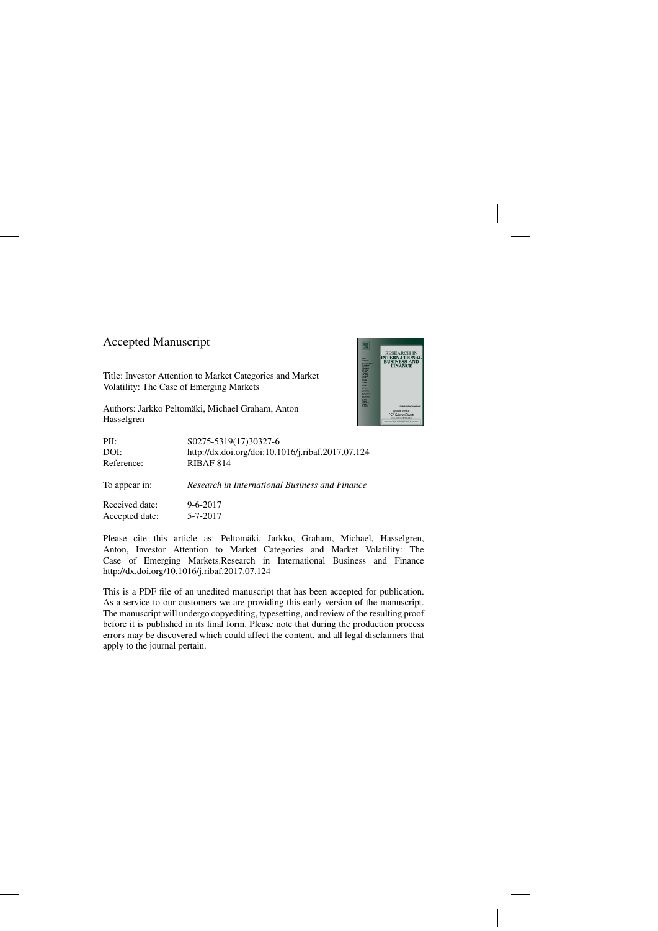## Accepted Manuscript

Title: Investor Attention to Market Categories and Market Volatility: The Case of Emerging Markets

Authors: Jarkko Peltomäki, Michael Graham, Anton Hasselgren



| PII:<br>DOI:<br>Reference:                                                                                                                                                                                                                                                                                                         | S0275-5319(17)30327-6<br>http://dx.doi.org/doi:10.1016/j.ribaf.2017.07.124<br>RIBAF 814 |
|------------------------------------------------------------------------------------------------------------------------------------------------------------------------------------------------------------------------------------------------------------------------------------------------------------------------------------|-----------------------------------------------------------------------------------------|
| To appear in:                                                                                                                                                                                                                                                                                                                      | Research in International Business and Finance                                          |
| $\mathbf{r}$ $\mathbf{r}$ $\mathbf{r}$ $\mathbf{r}$ $\mathbf{r}$ $\mathbf{r}$ $\mathbf{r}$ $\mathbf{r}$ $\mathbf{r}$ $\mathbf{r}$ $\mathbf{r}$ $\mathbf{r}$ $\mathbf{r}$ $\mathbf{r}$ $\mathbf{r}$ $\mathbf{r}$ $\mathbf{r}$ $\mathbf{r}$ $\mathbf{r}$ $\mathbf{r}$ $\mathbf{r}$ $\mathbf{r}$ $\mathbf{r}$ $\mathbf{r}$ $\mathbf{$ | . <i>.</i>                                                                              |

Received date: 9-6-2017 Accepted date: 5-7-2017

Please cite this article as: Peltomäki, Jarkko, Graham, Michael, Hasselgren, Anton, Investor Attention to Market Categories and Market Volatility: The Case of Emerging Markets.Research in International Business and Finance <http://dx.doi.org/10.1016/j.ribaf.2017.07.124>

This is a PDF file of an unedited manuscript that has been accepted for publication. As a service to our customers we are providing this early version of the manuscript. The manuscript will undergo copyediting, typesetting, and review of the resulting proof before it is published in its final form. Please note that during the production process errors may be discovered which could affect the content, and all legal disclaimers that apply to the journal pertain.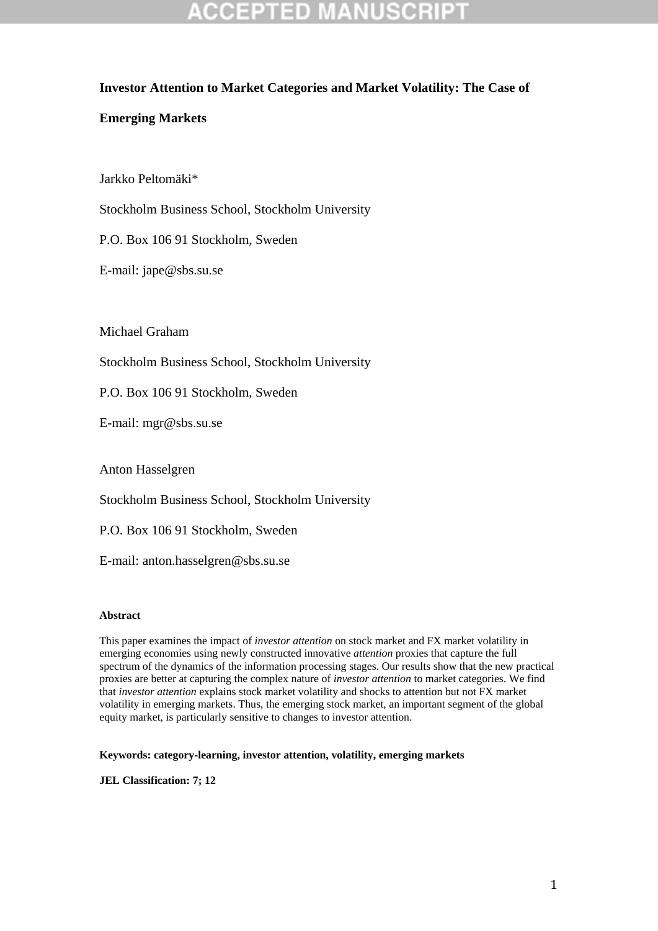### **Investor Attention to Market Categories and Market Volatility: The Case of**

### **Emerging Markets**

Jarkko Peltomäki\*

Stockholm Business School, Stockholm University

P.O. Box 106 91 Stockholm, Sweden

E-mail: jape@sbs.su.se

Michael Graham

Stockholm Business School, Stockholm University

P.O. Box 106 91 Stockholm, Sweden

E-mail: mgr@sbs.su.se

Anton Hasselgren

Stockholm Business School, Stockholm University

P.O. Box 106 91 Stockholm, Sweden

E-mail: anton.hasselgren@sbs.su.se

#### **Abstract**

This paper examines the impact of *investor attention* on stock market and FX market volatility in emerging economies using newly constructed innovative *attention* proxies that capture the full spectrum of the dynamics of the information processing stages. Our results show that the new practical proxies are better at capturing the complex nature of *investor attention* to market categories. We find that *investor attention* explains stock market volatility and shocks to attention but not FX market volatility in emerging markets. Thus, the emerging stock market, an important segment of the global equity market, is particularly sensitive to changes to investor attention.

**Keywords: category-learning, investor attention, volatility, emerging markets**

**JEL Classification: 7; 12**